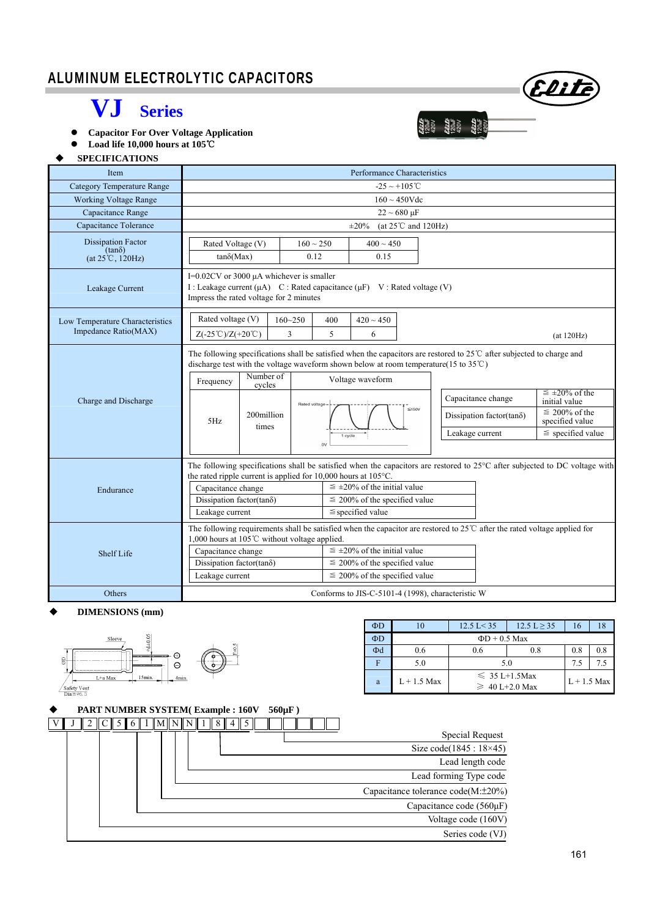### I ALUMINUM ELECTROLYTIC CAPACITORS

## **VJ Series**

 **Capacitor For Over Voltage Application** 

 **Load life 10,000 hours at 105**℃

#### **SPECIFICATIONS**

| Item                                                                    | Performance Characteristics                                                                                                                                                                                                                                                                                                                                                                                                                                                                                                                                                                                                                             |                                                                                                                                                                              |                             |                                  |                                                                            |                                                                                                            |  |  |  |  |
|-------------------------------------------------------------------------|---------------------------------------------------------------------------------------------------------------------------------------------------------------------------------------------------------------------------------------------------------------------------------------------------------------------------------------------------------------------------------------------------------------------------------------------------------------------------------------------------------------------------------------------------------------------------------------------------------------------------------------------------------|------------------------------------------------------------------------------------------------------------------------------------------------------------------------------|-----------------------------|----------------------------------|----------------------------------------------------------------------------|------------------------------------------------------------------------------------------------------------|--|--|--|--|
| <b>Category Temperature Range</b>                                       | $-25 \sim +105$ °C                                                                                                                                                                                                                                                                                                                                                                                                                                                                                                                                                                                                                                      |                                                                                                                                                                              |                             |                                  |                                                                            |                                                                                                            |  |  |  |  |
| <b>Working Voltage Range</b>                                            | $160 \sim 450$ Vdc                                                                                                                                                                                                                                                                                                                                                                                                                                                                                                                                                                                                                                      |                                                                                                                                                                              |                             |                                  |                                                                            |                                                                                                            |  |  |  |  |
| Capacitance Range                                                       |                                                                                                                                                                                                                                                                                                                                                                                                                                                                                                                                                                                                                                                         |                                                                                                                                                                              | $22 \sim 680 \,\mu F$       |                                  |                                                                            |                                                                                                            |  |  |  |  |
| Capacitance Tolerance                                                   |                                                                                                                                                                                                                                                                                                                                                                                                                                                                                                                                                                                                                                                         |                                                                                                                                                                              | $\pm 20\%$                  | (at $25^{\circ}$ C and $120$ Hz) |                                                                            |                                                                                                            |  |  |  |  |
| <b>Dissipation Factor</b><br>$(tan\delta)$<br>$(at 25^{\circ}C, 120Hz)$ | Rated Voltage (V)<br>$tan\delta(Max)$                                                                                                                                                                                                                                                                                                                                                                                                                                                                                                                                                                                                                   | $160 \sim 250$<br>0.12                                                                                                                                                       | $400 \sim 450$<br>0.15      |                                  |                                                                            |                                                                                                            |  |  |  |  |
| Leakage Current                                                         |                                                                                                                                                                                                                                                                                                                                                                                                                                                                                                                                                                                                                                                         | I=0.02CV or 3000 µA whichever is smaller<br>I : Leakage current ( $\mu$ A) C : Rated capacitance ( $\mu$ F) V : Rated voltage (V)<br>Impress the rated voltage for 2 minutes |                             |                                  |                                                                            |                                                                                                            |  |  |  |  |
| Low Temperature Characteristics<br>Impedance Ratio(MAX)                 | Rated voltage (V)<br>$Z(-25^{\circ}\text{C})/Z(+20^{\circ}\text{C})$                                                                                                                                                                                                                                                                                                                                                                                                                                                                                                                                                                                    | $160 - 250$<br>$420 \sim 450$<br>400<br>5<br>3<br>6<br>(at 120Hz)                                                                                                            |                             |                                  |                                                                            |                                                                                                            |  |  |  |  |
| Charge and Discharge                                                    | The following specifications shall be satisfied when the capacitors are restored to $25^{\circ}$ C after subjected to charge and<br>discharge test with the voltage waveform shown below at room temperature(15 to $35^{\circ}$ C)<br>Number of<br>Frequency<br>cycles<br>200million<br>5Hz<br>times                                                                                                                                                                                                                                                                                                                                                    | Rated voltage -<br>0V                                                                                                                                                        | Voltage waveform<br>1 cycle | $\leq 150V$                      | Capacitance change<br>Dissipation factor(tan $\delta$ )<br>Leakage current | $\leq \pm 20\%$ of the<br>initial value<br>$\leq 200\%$ of the<br>specified value<br>$\le$ specified value |  |  |  |  |
| Endurance<br>Shelf Life                                                 | The following specifications shall be satisfied when the capacitors are restored to 25°C after subjected to DC voltage with<br>the rated ripple current is applied for $10,000$ hours at $105^{\circ}$ C.<br>$\leq \pm 20\%$ of the initial value<br>Capacitance change<br>Dissipation factor(tan $\delta$ )<br>$\leq$ 200% of the specified value<br>$\le$ specified value<br>Leakage current<br>The following requirements shall be satisfied when the capacitor are restored to 25 <sup>°</sup> C after the rated voltage applied for<br>1,000 hours at 105°C without voltage applied.<br>$\leq \pm 20\%$ of the initial value<br>Capacitance change |                                                                                                                                                                              |                             |                                  |                                                                            |                                                                                                            |  |  |  |  |
|                                                                         | Dissipation factor(tano)<br>Leakage current                                                                                                                                                                                                                                                                                                                                                                                                                                                                                                                                                                                                             | $\leq$ 200% of the specified value<br>$\leq$ 200% of the specified value                                                                                                     |                             |                                  |                                                                            |                                                                                                            |  |  |  |  |
| Others                                                                  | Conforms to JIS-C-5101-4 (1998), characteristic W                                                                                                                                                                                                                                                                                                                                                                                                                                                                                                                                                                                                       |                                                                                                                                                                              |                             |                                  |                                                                            |                                                                                                            |  |  |  |  |

#### **DIMENSIONS (mm)**



| $\Phi$ D | 10                 | $12.5$ L $<$ 35                           | 12.5 L > 35 | 16            | 18  |  |  |  |  |  |
|----------|--------------------|-------------------------------------------|-------------|---------------|-----|--|--|--|--|--|
| $\Phi$ D | $\Phi$ D + 0.5 Max |                                           |             |               |     |  |  |  |  |  |
| $\Phi$ d | 0.6                | 0.8<br>0.6                                |             | 0.8           | 0.8 |  |  |  |  |  |
|          | 5.0                | 5.0                                       | 7.5         |               |     |  |  |  |  |  |
| a        | $L + 1.5$ Max      | $\leq 35$ L+1.5Max<br>$\geq 40$ L+2.0 Max |             | $L + 1.5$ Max |     |  |  |  |  |  |

| <b>PART NUMBER SYSTEM(Example: 160V 560µF)</b> |  |  |
|------------------------------------------------|--|--|
|                                                |  |  |

|                                          | $560 \mu F$ ) | <b>PART NUMBER SYSTEM(Example: 160V)</b> |             |  |  |  |
|------------------------------------------|---------------|------------------------------------------|-------------|--|--|--|
|                                          |               |                                          | $\ M\ N\ N$ |  |  |  |
| Special Request                          |               |                                          |             |  |  |  |
| Size code(1845: 18×45)                   |               |                                          |             |  |  |  |
| Lead length code                         |               |                                          |             |  |  |  |
| Lead forming Type code                   |               |                                          |             |  |  |  |
| Capacitance tolerance $code(M:\pm 20\%)$ |               |                                          |             |  |  |  |
| Capacitance code $(560\mu F)$            |               |                                          |             |  |  |  |
| Voltage code (160V)                      |               |                                          |             |  |  |  |
| Series code (VJ)                         |               |                                          |             |  |  |  |

Elite

 $\begin{array}{ll} \mathbf{\mathcal{E}} \mathbf{\mathcal{E}} \mathbf{\mathcal{E}} \mathbf{\mathcal{E}} \\ 120 \text{M} \\ 420 \text{V} \\ \mathbf{\mathcal{E}} \mathbf{\mathcal{E}} \mathbf{\mathcal{E}} \mathbf{\mathcal{E}} \mathbf{\mathcal{E}} \\ \mathbf{\mathcal{E}} \mathbf{\mathcal{E}} \mathbf{\mathcal{E}} \mathbf{\mathcal{E}} \\ 20 \text{M} \\ 420 \text{M} \\ \mathbf{\mathcal{E}} \mathbf{\mathcal{E}} \mathbf{\mathcal{E}} \mathbf{\mathcal{E}} \\ \mathbf{\mathcal{E}} \mathbf{\mathcal{E$